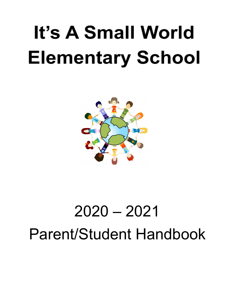# It's A Small World **Elementary School**



# 2020 – 2021 Parent/Student Handbook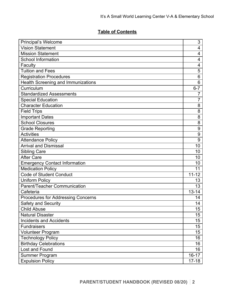# **Table of Contents**

| Principal's Welcome                       | 3               |
|-------------------------------------------|-----------------|
| <b>Vision Statement</b>                   | 4               |
| <b>Mission Statement</b>                  | 4               |
| <b>School Information</b>                 | 4               |
| Faculty                                   | 4               |
| <b>Tuition and Fees</b>                   | 5               |
| <b>Registration Procedures</b>            | $6\phantom{1}6$ |
| <b>Health Screening and Immunizations</b> | $6\phantom{1}6$ |
| Curriculum                                | $6 - 7$         |
| <b>Standardized Assessments</b>           | 7               |
| <b>Special Education</b>                  | 7               |
| <b>Character Education</b>                | 8               |
| <b>Field Trips</b>                        | 8               |
| <b>Important Dates</b>                    | 8               |
| <b>School Closures</b>                    | 8               |
| <b>Grade Reporting</b>                    | 9               |
| <b>Activities</b>                         | 9               |
| <b>Attendance Policy</b>                  | 9               |
| <b>Arrival and Dismissal</b>              | 10              |
| <b>Sibling Care</b>                       | 10              |
| <b>After Care</b>                         | 10              |
| <b>Emergency Contact Information</b>      | 10              |
| Medication Policy                         | 11              |
| <b>Code of Student Conduct</b>            | $11 - 12$       |
| <b>Uniform Policy</b>                     | 13              |
| Parent/Teacher Communication              | 13              |
| Cafeteria                                 | $13 - 14$       |
| <b>Procedures for Addressing Concerns</b> | 14              |
| Safety and Security                       | 14              |
| <b>Child Abuse</b>                        | 15              |
| <b>Natural Disaster</b>                   | 15              |
| <b>Incidents and Accidents</b>            | 15              |
| <b>Fundraisers</b>                        | 15              |
| Volunteer Program                         | 15              |
| <b>Technology Policy</b>                  | 16              |
| <b>Birthday Celebrations</b>              | 16              |
| Lost and Found                            | 16              |
| <b>Summer Program</b>                     | $16 - 17$       |
| <b>Expulsion Policy</b>                   | $17 - 18$       |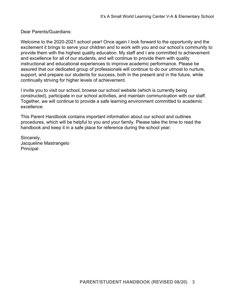Dear Parents/Guardians:

Welcome to the 2020-2021 school year! Once again I look forward to the opportunity and the excitement it brings to serve your children and to work with you and our school's community to provide them with the highest quality education. My staff and I are committed to achievement and excellence for all of our students, and will continue to provide them with quality instructional and educational experiences to improve academic performance. Please be assured that our dedicated group of professionals will continue to do our utmost to nurture, support, and prepare our students for success, both in the present and in the future, while continually striving for higher levels of achievement.

I invite you to visit our school, browse our school website (which is currently being constructed), participate in our school activities, and maintain communication with our staff. Together, we will continue to provide a safe learning environment committed to academic excellence.

This Parent Handbook contains important information about our school and outlines procedures, which will be helpful to you and your family. Please take the time to read the handbook and keep it in a safe place for reference during the school year.

Sincerely, Jacqueline Mastrangelo Principal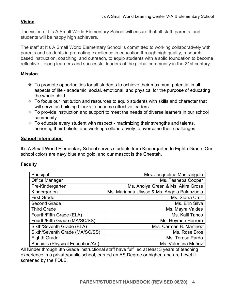# **Vision**

The vision of It's A Small World Elementary School will ensure that all staff, parents, and students will be happy high achievers.

The staff at It's A Small World Elementary School is committed to working collaboratively with parents and students in promoting excellence in education through high quality, research based instruction, coaching, and outreach, to equip students with a solid foundation to become reflective lifelong learners and successful leaders of the global community in the 21st century.

# **Mission**

- ❖ To promote opportunities for all students to achieve their maximum potential in all aspects of life - academic, social, emotional, and physical for the purpose of educating the whole child
- ❖ To focus our institution and resources to equip students with skills and character that will serve as building blocks to become effective leaders
- ❖ To provide instruction and support to meet the needs of diverse learners in our school community
- ❖ To educate every student with respect maximizing their strengths and talents, honoring their beliefs, and working collaboratively to overcome their challenges

# **School Information**

It's A Small World Elementary School serves students from Kindergarten to Eighth Grade. Our school colors are navy blue and gold, and our mascot is the Cheetah.

# **Faculty**

| Principal                         | Mrs. Jacqueline Mastrangelo                 |
|-----------------------------------|---------------------------------------------|
| <b>Office Manager</b>             | Ms. Tasheba Cooper                          |
| Pre-Kindergarten                  | Ms. Anolya Green & Ms. Akira Gross          |
| Kindergarten                      | Ms. Marianna Ulysse & Ms. Angela Palenzuela |
| <b>First Grade</b>                | Ms. Sierra Cruz                             |
| Second Grade                      | Ms. Erin Silva                              |
| <b>Third Grade</b>                | Ms. Mayra Valdes                            |
| Fourth/Fifth Grade (ELA)          | Ms. Kalil Tanco                             |
| Fourth/Fifth Grade (MA/SC/SS)     | Ms. Heymee Herrero                          |
| Sixth/Seventh Grade (ELA)         | Mrs. Carmen B. Martinez                     |
| Sixth/Seventh Grade (MA/SC/SS)    | Ms. Rose Bros                               |
| <b>Eighth Grade</b>               | Ms. Teresa Pardo                            |
| Specials (Physical Education/Art) | Ms. Valentina Muñoz                         |

All Kinder through 8th Grade instructional staff have fulfilled at least 3 years of teaching experience in a private/public school, earned an AS Degree or higher, and are Level II screened by the FDLE.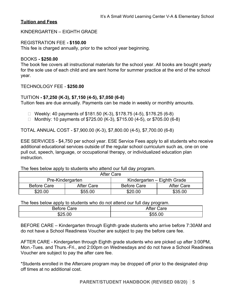# **Tuition and Fees**

KINDERGARTEN – EIGHTH GRADE

#### REGISTRATION FEE **- \$150.00**

This fee is charged annually, prior to the school year beginning.

#### BOOKS **- \$250.00**

The book fee covers all instructional materials for the school year. All books are bought yearly for the sole use of each child and are sent home for summer practice at the end of the school year.

#### TECHNOLOGY FEE - **\$250.00**

# TUITION **- \$7,250 (K-3), \$7,150 (4-5), \$7,050 (6-8)**

Tuition fees are due annually. Payments can be made in weekly or monthly amounts.

- □ Weekly: 40 payments of \$181.50 (K-3), \$178.75 (4-5), \$176.25 (6-8)
- □ Monthly: 10 payments of  $$725.00$  (K-3),  $$715.00$  (4-5), or  $$705.00$  (6-8)

TOTAL ANNUAL COST - \$7,900.00 (K-3), \$7,800.00 (4-5), \$7,700.00 (6-8)

ESE SERVICES - \$4,750 per school year. ESE Service Fees apply to all students who receive additional educational services outside of the regular school curriculum such as, one on one pull out, speech, language, or occupational therapy, or individualized education plan instruction.

The fees below apply to students who attend our full day program.

| After Care         |            |                             |            |
|--------------------|------------|-----------------------------|------------|
| Pre-Kindergarten   |            | Kindergarten – Eighth Grade |            |
| <b>Before Care</b> | After Care | <b>Before Care</b>          | After Care |
| \$20.00            | \$55.00    | \$20.00                     | \$35.00    |

The fees below apply to students who do not attend our full day program.

| Before  | After ( |
|---------|---------|
| Care    | Care    |
| \$25.00 | \$55.00 |

BEFORE CARE – Kindergarten through Eighth grade students who arrive before 7:30AM and do not have a School Readiness Voucher are subject to pay the before care fee.

AFTER CARE - Kindergarten through Eighth grade students who are picked up after 3:00PM, Mon.-Tues. and Thurs.-Fri., and 2:00pm on Wednesdays and do not have a School Readiness Voucher are subject to pay the after care fee.

\*Students enrolled in the Aftercare program may be dropped off prior to the designated drop off times at no additional cost.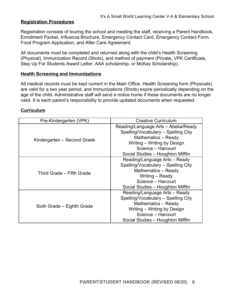# **Registration Procedures**

Registration consists of touring the school and meeting the staff, receiving a Parent Handbook, Enrollment Packet, Influenza Brochure, Emergency Contact Card, Emergency Contact Form, Food Program Application, and After Care Agreement.

All documents must be completed and returned along with the child's Health Screening (Physical), Immunization Record (Shots), and method of payment (Private, VPK Certificate, Step Up For Students Award Letter, AAA scholarship, or McKay Scholarship).

#### **Health Screening and Immunizations**

All medical records must be kept current in the Main Office. Health Screening form (Physicals) are valid for a two year period, and Immunizations (Shots) expire periodically depending on the age of the child. Administrative staff will send a notice home if these documents are no longer valid. It is each parent's responsibility to provide updated documents when requested.

#### **Curriculum**

| Pre-Kindergarten (VPK)      | <b>Creative Curriculum</b>          |
|-----------------------------|-------------------------------------|
|                             | Reading/Language Arts - Abeka/Ready |
|                             | Spelling/Vocabulary - Spelling City |
| Kindergarten – Second Grade | Mathematics - Ready                 |
|                             | Writing - Writing by Design         |
|                             | Science - Harcourt                  |
|                             | Social Studies - Houghton Mifflin   |
| Third Grade - Fifth Grade   | Reading/Language Arts - Ready       |
|                             | Spelling/Vocabulary - Spelling City |
|                             | Mathematics - Ready                 |
|                             | Writing - Ready                     |
|                             | Science - Harcourt                  |
|                             | Social Studies - Houghton Mifflin   |
| Sixth Grade – Eighth Grade  | Reading/Language Arts - Ready       |
|                             | Spelling/Vocabulary - Spelling City |
|                             | Mathematics - Ready                 |
|                             | Writing – Writing by Design         |
|                             | Science - Harcourt                  |
|                             | Social Studies - Houghton Mifflin   |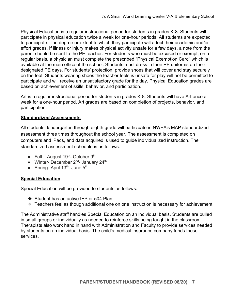Physical Education is a regular instructional period for students in grades K-8. Students will participate in physical education twice a week for one-hour periods. All students are expected to participate. The degree or extent to which they participate will affect their academic and/or effort grades. If illness or injury makes physical activity unsafe for a few days, a note from the parent should be sent to the PE teacher. For students who must be excused or exempt, on a regular basis, a physician must complete the prescribed "Physical Exemption Card" which is available at the main office of the school. Students must dress in their PE uniforms on their designated PE days. For students' protection, provide shoes that will cover and stay securely on the feet. Students wearing shoes the teacher feels is unsafe for play will not be permitted to participate and will receive an unsatisfactory grade for the day. Physical Education grades are based on achievement of skills, behavior, and participation.

Art is a regular instructional period for students in grades K-8. Students will have Art once a week for a one-hour period. Art grades are based on completion of projects, behavior, and participation.

# **Standardized Assessments**

All students, kindergarten through eighth grade will participate in NWEA's MAP standardized assessment three times throughout the school year. The assessment is completed on computers and iPads, and data acquired is used to guide individualized instruction. The standardized assessment schedule is as follows:

- Fall August  $19^{th}$  October  $9^{th}$
- Winter- December 2<sup>nd</sup>- January 24<sup>th</sup>
- $\bullet$  Spring- April 13<sup>th</sup>- June 5<sup>th</sup>

# **Special Education**

Special Education will be provided to students as follows.

- ❖ Student has an active IEP or 504 Plan
- ❖ Teachers feel as though additional one on one instruction is necessary for achievement.

The Administrative staff handles Special Education on an individual basis. Students are pulled in small groups or individually as needed to reinforce skills being taught in the classroom. Therapists also work hand in hand with Administration and Faculty to provide services needed by students on an individual basis. The child's medical insurance company funds these services.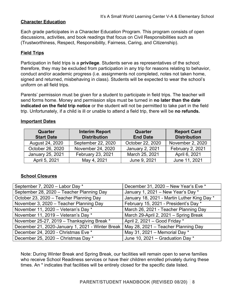# **Character Education**

Each grade participates in a Character Education Program. This program consists of open discussions, activities, and book readings that focus on Civil Responsibilities such as (Trustworthiness, Respect, Responsibility, Fairness, Caring, and Citizenship).

# **Field Trips**

Participation in field trips is a **privilege**. Students serve as representatives of the school; therefore, they may be excluded from participation in any trip for reasons relating to behavior, conduct and/or academic progress (i.e. assignments not completed, notes not taken home, signed and returned, misbehaving in class). Students will be expected to wear the school's uniform on all field trips.

Parents' permission must be given for a student to participate in field trips. The teacher will send forms home. Money and permission slips must be turned in **no later than the date indicated on the field trip notice** or the student will not be permitted to take part in the field trip. Unfortunately, if a child is ill or unable to attend a field trip, there will be **no refunds.**

| Quarter<br><b>Start Date</b> | <b>Interim Report</b><br><b>Distribution</b> | <b>Quarter</b><br><b>End Date</b> | <b>Report Card</b><br><b>Distribution</b> |
|------------------------------|----------------------------------------------|-----------------------------------|-------------------------------------------|
| August 24, 2020              | September 22, 2020                           | October 22, 2020                  | November 2, 2020                          |
| October 26, 2020             | November 24, 2020                            | January 2, 2021                   | February 2, 2021                          |
| January 25, 2021             | February 23, 2021                            | March 25, 2021                    | April 6, 2021                             |
| April 5, 2021                | May 4, 2021                                  | June 9, 2021                      | June 11, 2021                             |

#### **Important Dates**

# **School Closures**

| September 7, 2020 - Labor Day *                                                        | December 31, 2020 - New Year's Eve *        |
|----------------------------------------------------------------------------------------|---------------------------------------------|
| September 28, 2020 - Teacher Planning Day                                              | January 1, 2021 - New Year's Day *          |
| October 23, 2020 - Teacher Planning Day                                                | January 18, 2021 - Martin Luther King Day * |
| November 3, 2020 - Teacher Planning Day                                                | February 15, 2021 - President's Day *       |
| November 11, 2020 - Veteran's Day *                                                    | March 26, 2021 - Teacher Planning Day       |
| November 11, 2019 - Veteran's Day *                                                    | March 29-April 2, 2021 - Spring Break       |
| November 25-27, 2019 - Thanksgiving Break *                                            | April 2, 2021 - Good Friday *               |
| December 21, 2020-January 1, 2021 - Winter Break   May 28, 2021 - Teacher Planning Day |                                             |
| December 24, 2020 - Christmas Eve *                                                    | May 31, 2021 – Memorial Day $*$             |
| December 25, 2020 - Christmas Day *                                                    | June 10, 2021 - Graduation Day *            |

Note: During Winter Break and Spring Break, our facilities will remain open to serve families who receive School Readiness services or have their children enrolled privately during these times. An \* indicates that facilities will be entirely closed for the specific date listed.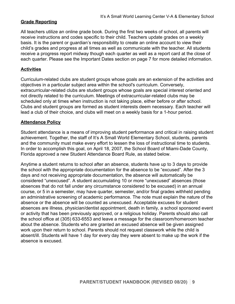# **Grade Reporting**

All teachers utilize an online grade book. During the first two weeks of school, all parents will receive instructions and codes specific to their child. Teachers update grades on a weekly basis. It is the parent or guardian's responsibility to create an online account to view their child's grades and progress at all times as well as communicate with the teacher. All students receive a progress report midway though each quarter as well as a report card at the close of each quarter. Please see the Important Dates section on page 7 for more detailed information.

# **Activities**

Curriculum-related clubs are student groups whose goals are an extension of the activities and objectives in a particular subject area within the school's curriculum. Conversely, extracurricular-related clubs are student groups whose goals are special interest oriented and not directly related to the curriculum. Meetings of extracurricular-related clubs may be scheduled only at times when instruction is not taking place, either before or after school. Clubs and student groups are formed as student interests deem necessary. Each teacher will lead a club of their choice, and clubs will meet on a weekly basis for a 1-hour period.

# **Attendance Policy**

Student attendance is a means of improving student performance and critical in raising student achievement. Together, the staff of It's A Small World Elementary School, students, parents and the community must make every effort to lessen the loss of instructional time to students. In order to accomplish this goal, on April 18, 2007, the School Board of Miami-Dade County, Florida approved a new Student Attendance Board Rule, as stated below.

Anytime a student returns to school after an absence, students have up to 3 days to provide the school with the appropriate documentation for the absence to be "excused". After the 3 days and not receiving appropriate documentation, the absence will automatically be considered "unexcused". A student accumulating 10 or more "unexcused" absences (those absences that do not fall under any circumstance considered to be excused) in an annual course, or 5 in a semester, may have quarter, semester, and/or final grades withheld pending an administrative screening of academic performance. The note must explain the nature of the absence or the absence will be counted as unexcused. Acceptable excuses for student absences are illness, physician/dentist appointment, death in family, a school sponsored event or activity that has been previously approved, or a religious holiday. Parents should also call the school office at (305) 633-6553 and leave a message for the classroom/homeroom teacher about the absence. Students who are granted an excused absence will be given assigned work upon their return to school. Parents should not request classwork while the child is absent/ill. Students will have 1 day for every day they were absent to make up the work if the absence is excused.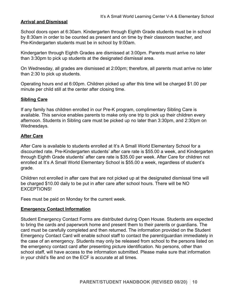# **Arrival and Dismissal**

School doors open at 6:30am. Kindergarten through Eighth Grade students must be in school by 8:30am in order to be counted as present and on time by their classroom teacher, and Pre-Kindergarten students must be in school by 9:00am.

Kindergarten through Eighth Grades are dismissed at 3:00pm. Parents must arrive no later than 3:30pm to pick up students at the designated dismissal area.

On Wednesday, all grades are dismissed at 2:00pm; therefore, all parents must arrive no later than 2:30 to pick up students.

Operating hours end at 6:00pm. Children picked up after this time will be charged \$1.00 per minute per child still at the center after closing time.

#### **Sibling Care**

If any family has children enrolled in our Pre-K program, complimentary Sibling Care is available. This service enables parents to make only one trip to pick up their children every afternoon. Students in Sibling care must be picked up no later than 3:30pm, and 2:30pm on Wednesdays.

# **After Care**

After Care is available to students enrolled at It's A Small World Elementary School for a discounted rate. Pre-Kindergarten students' after care rate is \$55.00 a week, and Kindergarten through Eighth Grade students' after care rate is \$35.00 per week. After Care for children not enrolled at It's A Small World Elementary School is \$55.00 a week, regardless of student's grade.

Children not enrolled in after care that are not picked up at the designated dismissal time will be charged \$10.00 daily to be put in after care after school hours. There will be NO EXCEPTIONS!

Fees must be paid on Monday for the current week.

#### **Emergency Contact Information**

Student Emergency Contact Forms are distributed during Open House. Students are expected to bring the cards and paperwork home and present them to their parents or guardians. The card must be carefully completed and then returned. The information provided on the Student Emergency Contact Card will enable school staff to contact the parent/guardian immediately in the case of an emergency. Students may only be released from school to the persons listed on the emergency contact card after presenting picture identification. No persons, other than school staff, will have access to the information submitted. Please make sure that information in your child's file and on the ECF is accurate at all times.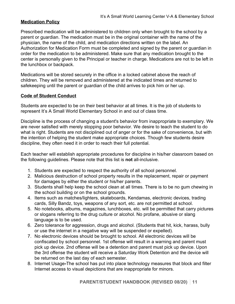# **Medication Policy**

Prescribed medication will be administered to children only when brought to the school by a parent or guardian. The medication must be in the original container with the name of the physician, the name of the child, and medication directions written on the label. An Authorization for Medication Form must be completed and signed by the parent or guardian in order for the medication to be administered. Make sure that any medication brought to the center is personally given to the Principal or teacher in charge. Medications are not to be left in the lunchbox or backpack.

Medications will be stored securely in the office in a locked cabinet above the reach of children. They will be removed and administered at the indicated times and returned to safekeeping until the parent or guardian of the child arrives to pick him or her up.

# **Code of Student Conduct**

Students are expected to be on their best behavior at all times. It is the job of students to represent It's A Small World Elementary School in and out of class time.

Discipline is the process of changing a student's behavior from inappropriate to exemplary. We are never satisfied with merely stopping poor behavior. We desire to teach the student to do what is right. Students are not disciplined out of anger or for the sake of convenience, but with the intention of helping the student make appropriate choices. Though few students desire discipline, they often need it in order to reach their full potential.

Each teacher will establish appropriate procedures for discipline in his/her classroom based on the following guidelines. Please note that this list is **not** all-inclusive.

- 1. Students are expected to respect the authority of all school personnel.
- 2. Malicious destruction of school property results in the replacement, repair or payment for damages by either the student or his/her parents.
- 3. Students shall help keep the school clean at all times. There is to be no gum chewing in the school building or on the school grounds.
- 4. Items such as matches/lighters, skateboards, Kendamas, electronic devices, trading cards, Silly Bandz, toys, weapons of any sort, etc. are not permitted at school.
- 5. No notebooks, albums, magazines, lunchboxes, etc. will be permitted that carry pictures or slogans referring to the drug culture or alcohol. No profane, abusive or slang language is to be used.
- 6. Zero tolerance for aggression, drugs and alcohol. (Students that hit, kick, harass, bully or use the internet in a negative way will be suspended or expelled).
- 7. No electronic devices should be brought to school. All electronic devices will be confiscated by school personnel. 1st offense will result in a warning and parent must pick up device. 2nd offense will be a detention and parent must pick up device. Upon the 3rd offense the student will receive a Saturday Work Detention and the device will be returned on the last day of each semester.
- 8. Internet Usage**-**The school has put into place technology measures that block and filter Internet access to visual depictions that are inappropriate for minors.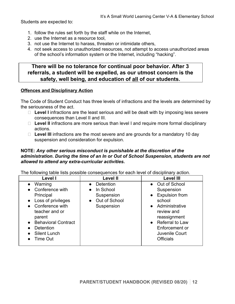Students are expected to:

- 1. follow the rules set forth by the staff while on the Internet,
- 2. use the Internet as a resource tool,
- 3. not use the Internet to harass, threaten or intimidate others,
- 4. not seek access to unauthorized resources, not attempt to access unauthorized areas of the school's information system or the Internet, including "hacking".

# **There will be no tolerance for continual poor behavior. After 3 referrals, a student will be expelled, as our utmost concern is the safety, well being, and education of all of our students.**

#### **Offences and Disciplinary Action**

The Code of Student Conduct has three levels of infractions and the levels are determined by the seriousness of the act.

- □ Level I infractions are the least serious and will be dealt with by imposing less severe consequences than Level II and III.
- □ Level II infractions are more serious than level I and require more formal disciplinary actions.
- □ Level III infractions are the most severe and are grounds for a mandatory 10 day suspension and consideration for expulsion.

#### **NOTE:** *Any other serious misconduct is punishable at the discretion of the administration***.** *During the time of an In or Out of School Suspension, students are not allowed to attend any extra-curricular activities.*

The following table lists possible consequences for each level of disciplinary action.

| Level I                                                                                                                                                                                                            | <b>Level II</b>                                                                                      | <b>Level III</b>                                                                                                                                                                                             |
|--------------------------------------------------------------------------------------------------------------------------------------------------------------------------------------------------------------------|------------------------------------------------------------------------------------------------------|--------------------------------------------------------------------------------------------------------------------------------------------------------------------------------------------------------------|
| Warning<br>Conference with<br>$\bullet$<br>Principal<br>• Loss of privileges<br>• Conference with<br>teacher and or<br>parent<br><b>Behavioral Contract</b><br><b>Detention</b><br><b>Silent Lunch</b><br>Time Out | <b>Detention</b><br>In School<br>$\bullet$<br>Suspension<br>Out of School<br>$\bullet$<br>Suspension | • Out of School<br>Suspension<br><b>Expulsion from</b><br>$\bullet$<br>school<br>• Administrative<br>review and<br>reassignment<br>• Referral to Law<br>Enforcement or<br>Juvenile Court<br><b>Officials</b> |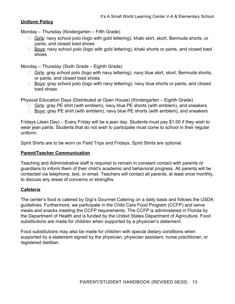# **Uniform Policy**

Monday – Thursday (Kindergarten – Fifth Grade)

- Girls: navy school polo (logo with gold lettering), khaki skirt, skort, Bermuda shorts, or pants, and closed toed shoes
- $\Box$  Boys: navy school polo (logo with gold lettering), khaki shorts or pants, and closed toed shoes

Monday – Thursday (Sixth Grade – Eighth Grade)

- $\Box$  Girls: gray school polo (logo with navy lettering), navy blue skirt, skort, Bermuda shorts, or pants, and closed toed shoes
- $\Box$  Boys: gray school polo (logo with navy lettering), navy blue shorts or pants, and closed toed shoes

Physical Education Days (Distributed at Open House) (Kindergarten – Eighth Grade)

- □ Girls: gray PE shirt (with emblem), navy blue PE shorts (with emblem), and sneakers
- $\Box$  Boys: gray PE shirt (with emblem), navy blue PE shorts (with emblem), and sneakers

Fridays (Jean Day) – Every Friday will be a jean day. Students must pay \$1.00 if they wish to wear jean pants. Students that do not wish to participate must come to school in their regular uniform.

Spirit Shirts are to be worn on Field Trips and Fridays. Spirit Shirts are optional.

# **Parent/Teacher Communication**

Teaching and Administrative staff is required to remain in constant contact with parents or guardians to inform them of their child's academic and behavioral progress. All parents will be contacted via telephone, text, or email. Teachers will contact all parents, at least once monthly, to discuss any areas of concerns or strengths.

#### **Cafeteria**

The center's food is catered by Gigi's Gourmet Catering on a daily basis and follows the USDA guidelines. Furthermore, we participate in the Child Care Food Program (CCFP) and serve meals and snacks meeting the CCFP requirements. The CCFP is administered in Florida by the Department of Health and is funded by the United States Department of Agriculture. Food substitutions are made for children when supported by a physician's statement.

Food substitutions may also be made for children with special dietary conditions when supported by a statement signed by the physician, physician assistant, nurse practitioner, or registered dietitian.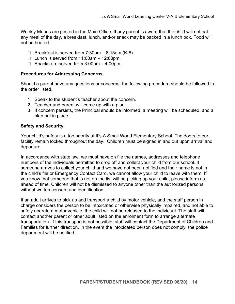Weekly Menus are posted in the Main Office. If any parent is aware that the child will not eat any meal of the day, a breakfast, lunch, and/or snack may be packed in a lunch box. Food will not be heated.

- $\Box$  Breakfast is served from 7:30am 8:15am (K-8)
- $\Box$  Lunch is served from 11:00am 12:00pm.
- $\Box$  Snacks are served from 3:00pm  $-$  4:00pm.

#### **Procedures for Addressing Concerns**

Should a parent have any questions or concerns, the following procedure should be followed in the order listed.

- 1. Speak to the student's teacher about the concern.
- 2. Teacher and parent will come up with a plan.
- 3. If concern persists, the Principal should be informed, a meeting will be scheduled, and a plan put in place.

# **Safety and Security**

Your child's safety is a top priority at It's A Small World Elementary School. The doors to our facility remain locked throughout the day. Children must be signed in and out upon arrival and departure.

In accordance with state law, we must have on file the names, addresses and telephone numbers of the individuals permitted to drop off and collect your child from our school. If someone arrives to collect your child and we have not been notified and their name is not in the child's file or Emergency Contact Card, we cannot allow your child to leave with them. If you know that someone that is not on the list will be picking up your child, please inform us ahead of time. Children will not be dismissed to anyone other than the authorized persons without written consent and identification.

If an adult arrives to pick up and transport a child by motor vehicle, and the staff person in charge considers the person to be intoxicated or otherwise physically impaired, and not able to safely operate a motor vehicle, the child will not be released to the individual. The staff will contact another parent or other adult listed on the enrolment form to arrange alternate transportation. If this transport is not possible, staff will contact the Department of Children and Families for further direction. In the event the intoxicated person does not comply, the police department will be notified.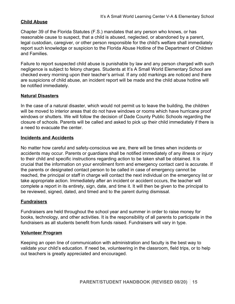# **Child Abuse**

Chapter 39 of the Florida Statutes (F.S.) mandates that any person who knows, or has reasonable cause to suspect, that a child is abused, neglected, or abandoned by a parent, legal custodian, caregiver, or other person responsible for the child's welfare shall immediately report such knowledge or suspicion to the Florida Abuse Hotline of the Department of Children and Families.

Failure to report suspected child abuse is punishable by law and any person charged with such negligence is subject to felony charges. Students at It's A Small World Elementary School are checked every morning upon their teacher's arrival. If any odd markings are noticed and there are suspicions of child abuse, an incident report will be made and the child abuse hotline will be notified immediately.

# **Natural Disasters**

In the case of a natural disaster, which would not permit us to leave the building, the children will be moved to interior areas that do not have windows or rooms which have hurricane proof windows or shutters. We will follow the decision of Dade County Public Schools regarding the closure of schools. Parents will be called and asked to pick up their child immediately if there is a need to evacuate the center.

#### **Incidents and Accidents**

No matter how careful and safety-conscious we are, there will be times when incidents or accidents may occur. Parents or guardians shall be notified immediately of any illness or injury to their child and specific instructions regarding action to be taken shall be obtained. It is crucial that the information on your enrollment form and emergency contact card is accurate. If the parents or designated contact person to be called in case of emergency cannot be reached, the principal or staff in charge will contact the next individual on the emergency list or take appropriate action. Immediately after an incident or accident occurs, the teacher will complete a report in its entirety, sign, date, and time it. It will then be given to the principal to be reviewed, signed, dated, and timed and to the parent during dismissal.

# **Fundraisers**

Fundraisers are held throughout the school year and summer in order to raise money for books, technology, and other activities. It is the responsibility of all parents to participate in the fundraisers as all students benefit from funds raised. Fundraisers will vary in type.

#### **Volunteer Program**

Keeping an open line of communication with administration and faculty is the best way to validate your child's education. If need be, volunteering in the classroom, field trips, or to help out teachers is greatly appreciated and encouraged.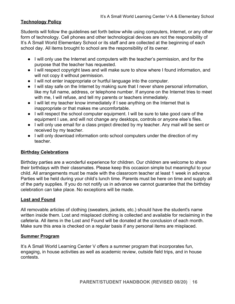# **Technology Policy**

Students will follow the guidelines set forth below while using computers, Internet, or any other form of technology. Cell phones and other technological devices are not the responsibility of It's A Small World Elementary School or its staff and are collected at the beginning of each school day. All items brought to school are the responsibility of its owner.

- I will only use the Internet and computers with the teacher's permission, and for the purpose that the teacher has requested.
- I will respect copyright laws and will make sure to show where I found information, and will not copy it without permission.
- I will not enter inappropriate or hurtful language into the computer.
- I will stay safe on the Internet by making sure that I never share personal information, like my full name, address, or telephone number. If anyone on the Internet tries to meet with me, I will refuse, and tell my parents or teachers immediately.
- I will let my teacher know immediately if I see anything on the Internet that is inappropriate or that makes me uncomfortable.
- I will respect the school computer equipment. I will be sure to take good care of the equipment I use, and will not change any desktops, controls or anyone else's files.
- I will only use email for a class project directed by my teacher. Any mail will be sent or received by my teacher.
- I will only download information onto school computers under the direction of my teacher.

# **Birthday Celebrations**

Birthday parties are a wonderful experience for children. Our children are welcome to share their birthdays with their classmates. Please keep this occasion simple but meaningful to your child. All arrangements must be made with the classroom teacher at least 1 week in advance. Parties will be held during your child's lunch time. Parents must be here on time and supply all of the party supplies. If you do not notify us in advance we cannot guarantee that the birthday celebration can take place. No exceptions will be made.

#### **Lost and Found**

All removable articles of clothing (sweaters, jackets, etc.) should have the student's name written inside them. Lost and misplaced clothing is collected and available for reclaiming in the cafeteria. All items in the Lost and Found will be donated at the conclusion of each month. Make sure this area is checked on a regular basis if any personal items are misplaced.

#### **Summer Program**

It's A Small World Learning Center V offers a summer program that incorporates fun, engaging, in house activities as well as academic review, outside field trips, and in house contests.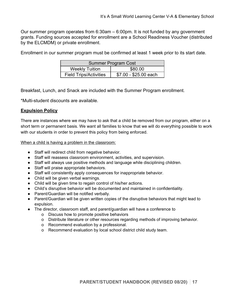Our summer program operates from 6:30am – 6:00pm. It is not funded by any government grants. Funding sources accepted for enrollment are a School Readiness Voucher (distributed by the ELCMDM) or private enrollment.

Enrollment in our summer program must be confirmed at least 1 week prior to its start date.

| Summer Program Cost              |                       |  |
|----------------------------------|-----------------------|--|
| <b>Weekly Tuition</b><br>\$80.00 |                       |  |
| <b>Field Trips/Activities</b>    | \$7.00 - \$25.00 each |  |

Breakfast, Lunch, and Snack are included with the Summer Program enrollment.

\*Multi-student discounts are available.

# **Expulsion Policy**

There are instances where we may have to ask that a child be removed from our program, either on a short term or permanent basis. We want all families to know that we will do everything possible to work with our students in order to prevent this policy from being enforced.

When a child is having a problem in the classroom:

- Staff will redirect child from negative behavior.
- Staff will reassess classroom environment, activities, and supervision.
- Staff will always use positive methods and language while disciplining children.
- Staff will praise appropriate behaviors.
- Staff will consistently apply consequences for inappropriate behavior.
- Child will be given verbal warnings.
- Child will be given time to regain control of his/her actions.
- Child's disruptive behavior will be documented and maintained in confidentiality.
- Parent/Guardian will be notified verbally.
- Parent/Guardian will be given written copies of the disruptive behaviors that might lead to expulsion.
- The director, classroom staff, and parent/guardian will have a conference to
	- o Discuss how to promote positive behaviors
	- o Distribute literature or other resources regarding methods of improving behavior.
	- o Recommend evaluation by a professional.
	- o Recommend evaluation by local school district child study team.